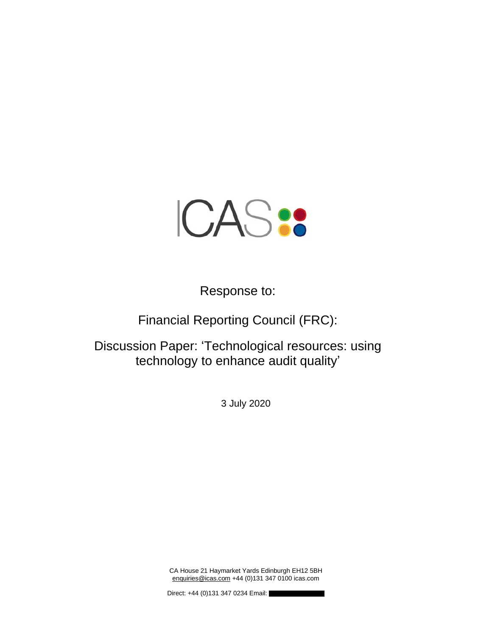

Response to:

Financial Reporting Council (FRC):

Discussion Paper: 'Technological resources: using technology to enhance audit quality'

3 July 2020

CA House 21 Haymarket Yards Edinburgh EH12 5BH [enquiries@icas.com](mailto:enquiries@icas.com) +44 (0)131 347 0100 icas.com

Direct: +44 (0)131 347 0234 Email: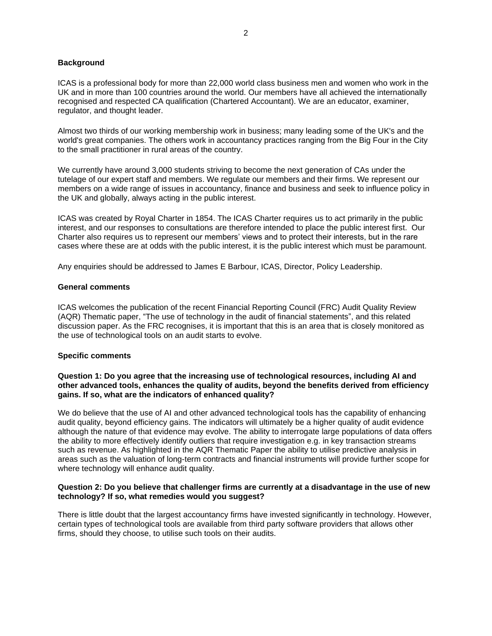# **Background**

ICAS is a professional body for more than 22,000 world class business men and women who work in the UK and in more than 100 countries around the world. Our members have all achieved the internationally recognised and respected CA qualification (Chartered Accountant). We are an educator, examiner, regulator, and thought leader.

Almost two thirds of our working membership work in business; many leading some of the UK's and the world's great companies. The others work in accountancy practices ranging from the Big Four in the City to the small practitioner in rural areas of the country.

We currently have around 3,000 students striving to become the next generation of CAs under the tutelage of our expert staff and members. We regulate our members and their firms. We represent our members on a wide range of issues in accountancy, finance and business and seek to influence policy in the UK and globally, always acting in the public interest.

ICAS was created by Royal Charter in 1854. The ICAS Charter requires us to act primarily in the public interest, and our responses to consultations are therefore intended to place the public interest first. Our Charter also requires us to represent our members' views and to protect their interests, but in the rare cases where these are at odds with the public interest, it is the public interest which must be paramount.

Any enquiries should be addressed to James E Barbour, ICAS, Director, Policy Leadership.

#### **General comments**

ICAS welcomes the publication of the recent Financial Reporting Council (FRC) Audit Quality Review (AQR) Thematic paper, "The use of technology in the audit of financial statements", and this related discussion paper. As the FRC recognises, it is important that this is an area that is closely monitored as the use of technological tools on an audit starts to evolve.

# **Specific comments**

### **Question 1: Do you agree that the increasing use of technological resources, including AI and other advanced tools, enhances the quality of audits, beyond the benefits derived from efficiency gains. If so, what are the indicators of enhanced quality?**

We do believe that the use of AI and other advanced technological tools has the capability of enhancing audit quality, beyond efficiency gains. The indicators will ultimately be a higher quality of audit evidence although the nature of that evidence may evolve. The ability to interrogate large populations of data offers the ability to more effectively identify outliers that require investigation e.g. in key transaction streams such as revenue. As highlighted in the AQR Thematic Paper the ability to utilise predictive analysis in areas such as the valuation of long-term contracts and financial instruments will provide further scope for where technology will enhance audit quality.

# **Question 2: Do you believe that challenger firms are currently at a disadvantage in the use of new technology? If so, what remedies would you suggest?**

There is little doubt that the largest accountancy firms have invested significantly in technology. However, certain types of technological tools are available from third party software providers that allows other firms, should they choose, to utilise such tools on their audits.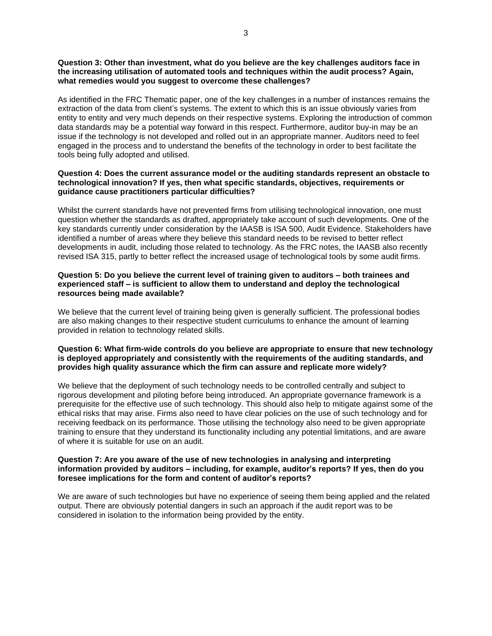### **Question 3: Other than investment, what do you believe are the key challenges auditors face in the increasing utilisation of automated tools and techniques within the audit process? Again, what remedies would you suggest to overcome these challenges?**

As identified in the FRC Thematic paper, one of the key challenges in a number of instances remains the extraction of the data from client's systems. The extent to which this is an issue obviously varies from entity to entity and very much depends on their respective systems. Exploring the introduction of common data standards may be a potential way forward in this respect. Furthermore, auditor buy-in may be an issue if the technology is not developed and rolled out in an appropriate manner. Auditors need to feel engaged in the process and to understand the benefits of the technology in order to best facilitate the tools being fully adopted and utilised.

### **Question 4: Does the current assurance model or the auditing standards represent an obstacle to technological innovation? If yes, then what specific standards, objectives, requirements or guidance cause practitioners particular difficulties?**

Whilst the current standards have not prevented firms from utilising technological innovation, one must question whether the standards as drafted, appropriately take account of such developments. One of the key standards currently under consideration by the IAASB is ISA 500, Audit Evidence. Stakeholders have identified a number of areas where they believe this standard needs to be revised to better reflect developments in audit, including those related to technology. As the FRC notes, the IAASB also recently revised ISA 315, partly to better reflect the increased usage of technological tools by some audit firms.

# **Question 5: Do you believe the current level of training given to auditors – both trainees and experienced staff – is sufficient to allow them to understand and deploy the technological resources being made available?**

We believe that the current level of training being given is generally sufficient. The professional bodies are also making changes to their respective student curriculums to enhance the amount of learning provided in relation to technology related skills.

### **Question 6: What firm-wide controls do you believe are appropriate to ensure that new technology is deployed appropriately and consistently with the requirements of the auditing standards, and provides high quality assurance which the firm can assure and replicate more widely?**

We believe that the deployment of such technology needs to be controlled centrally and subject to rigorous development and piloting before being introduced. An appropriate governance framework is a prerequisite for the effective use of such technology. This should also help to mitigate against some of the ethical risks that may arise. Firms also need to have clear policies on the use of such technology and for receiving feedback on its performance. Those utilising the technology also need to be given appropriate training to ensure that they understand its functionality including any potential limitations, and are aware of where it is suitable for use on an audit.

#### **Question 7: Are you aware of the use of new technologies in analysing and interpreting information provided by auditors – including, for example, auditor's reports? If yes, then do you foresee implications for the form and content of auditor's reports?**

We are aware of such technologies but have no experience of seeing them being applied and the related output. There are obviously potential dangers in such an approach if the audit report was to be considered in isolation to the information being provided by the entity.